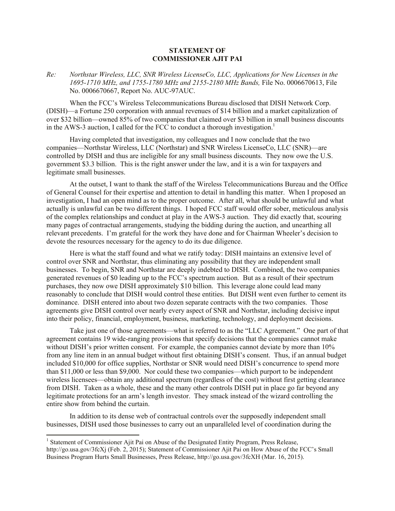## **STATEMENT OF COMMISSIONER AJIT PAI**

*Re: Northstar Wireless, LLC, SNR Wireless LicenseCo, LLC, Applications for New Licenses in the 1695-1710 MHz, and 1755-1780 MHz and 2155-2180 MHz Bands,* File No. 0006670613, File No. 0006670667, Report No. AUC-97AUC.

When the FCC's Wireless Telecommunications Bureau disclosed that DISH Network Corp. (DISH)—a Fortune 250 corporation with annual revenues of \$14 billion and a market capitalization of over \$32 billion—owned 85% of two companies that claimed over \$3 billion in small business discounts in the AWS-3 auction, I called for the FCC to conduct a thorough investigation.<sup>1</sup>

Having completed that investigation, my colleagues and I now conclude that the two companies—Northstar Wireless, LLC (Northstar) and SNR Wireless LicenseCo, LLC (SNR)—are controlled by DISH and thus are ineligible for any small business discounts. They now owe the U.S. government \$3.3 billion. This is the right answer under the law, and it is a win for taxpayers and legitimate small businesses.

At the outset, I want to thank the staff of the Wireless Telecommunications Bureau and the Office of General Counsel for their expertise and attention to detail in handling this matter. When I proposed an investigation, I had an open mind as to the proper outcome. After all, what should be unlawful and what actually is unlawful can be two different things. I hoped FCC staff would offer sober, meticulous analysis of the complex relationships and conduct at play in the AWS-3 auction. They did exactly that, scouring many pages of contractual arrangements, studying the bidding during the auction, and unearthing all relevant precedents. I'm grateful for the work they have done and for Chairman Wheeler's decision to devote the resources necessary for the agency to do its due diligence.

Here is what the staff found and what we ratify today: DISH maintains an extensive level of control over SNR and Northstar, thus eliminating any possibility that they are independent small businesses. To begin, SNR and Northstar are deeply indebted to DISH. Combined, the two companies generated revenues of \$0 leading up to the FCC's spectrum auction. But as a result of their spectrum purchases, they now owe DISH approximately \$10 billion. This leverage alone could lead many reasonably to conclude that DISH would control these entities. But DISH went even further to cement its dominance. DISH entered into about two dozen separate contracts with the two companies. Those agreements give DISH control over nearly every aspect of SNR and Northstar, including decisive input into their policy, financial, employment, business, marketing, technology, and deployment decisions.

Take just one of those agreements—what is referred to as the "LLC Agreement." One part of that agreement contains 19 wide-ranging provisions that specify decisions that the companies cannot make without DISH's prior written consent. For example, the companies cannot deviate by more than 10% from any line item in an annual budget without first obtaining DISH's consent. Thus, if an annual budget included \$10,000 for office supplies, Northstar or SNR would need DISH's concurrence to spend more than \$11,000 or less than \$9,000. Nor could these two companies—which purport to be independent wireless licensees—obtain any additional spectrum (regardless of the cost) without first getting clearance from DISH. Taken as a whole, these and the many other controls DISH put in place go far beyond any legitimate protections for an arm's length investor. They smack instead of the wizard controlling the entire show from behind the curtain.

In addition to its dense web of contractual controls over the supposedly independent small businesses, DISH used those businesses to carry out an unparalleled level of coordination during the

l

<sup>&</sup>lt;sup>1</sup> Statement of Commissioner Ajit Pai on Abuse of the Designated Entity Program, Press Release, http://go.usa.gov/3fcXj (Feb. 2, 2015); Statement of Commissioner Ajit Pai on How Abuse of the FCC's Small Business Program Hurts Small Businesses, Press Release, http://go.usa.gov/3fcXH (Mar. 16, 2015).